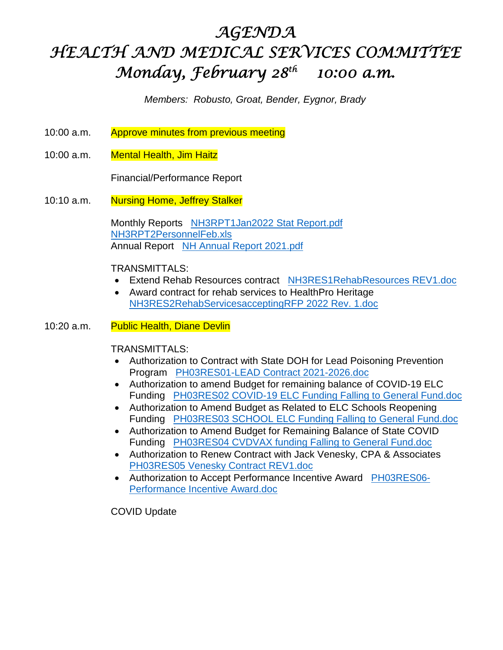# *AGENDA HEALTH AND MEDICAL SERVICES COMMITTEE Monday, February 28th 10:00 a.m.*

*Members: Robusto, Groat, Bender, Eygnor, Brady* 

- 10:00 a.m. Approve minutes from previous meeting
- 10:00 a.m. Mental Health, Jim Haitz

Financial/Performance Report

10:10 a.m. Nursing Home, Jeffrey Stalker

 Monthly Reports NH3RPT1Jan2022 Stat Report.pdf NH3RPT2PersonnelFeb.xls Annual Report NH Annual Report 2021.pdf

TRANSMITTALS:

- Extend Rehab Resources contract NH3RES1RehabResources REV1.doc
- Award contract for rehab services to HealthPro Heritage NH3RES2RehabServicesacceptingRFP 2022 Rev. 1.doc
- 10:20 a.m. Public Health, Diane Devlin

TRANSMITTALS:

- Authorization to Contract with State DOH for Lead Poisoning Prevention Program PH03RES01-LEAD Contract 2021-2026.doc
- Authorization to amend Budget for remaining balance of COVID-19 ELC Funding PH03RES02 COVID-19 ELC Funding Falling to General Fund.doc
- Authorization to Amend Budget as Related to ELC Schools Reopening Funding PH03RES03 SCHOOL ELC Funding Falling to General Fund.doc
- Authorization to Amend Budget for Remaining Balance of State COVID Funding PH03RES04 CVDVAX funding Falling to General Fund.doc
- Authorization to Renew Contract with Jack Venesky, CPA & Associates PH03RES05 Venesky Contract REV1.doc
- Authorization to Accept Performance Incentive Award PH03RES06-Performance Incentive Award.doc

COVID Update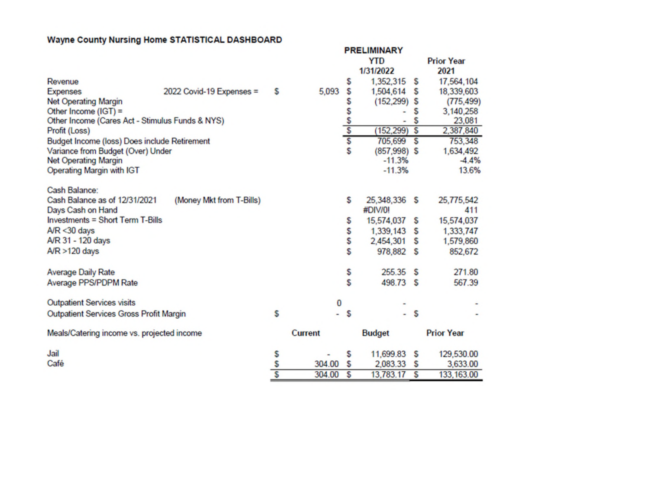### Wayne County Nursing Home STATISTICAL DASHBOARD

|                                                 |                          |                |         |       | <b>PRELIMINARY</b> |   |                   |
|-------------------------------------------------|--------------------------|----------------|---------|-------|--------------------|---|-------------------|
|                                                 |                          |                |         |       | <b>YTD</b>         |   | <b>Prior Year</b> |
|                                                 |                          |                |         |       | 1/31/2022          |   | 2021              |
| Revenue                                         |                          |                |         | S     | 1,352,315          | s | 17,564,104        |
| <b>Expenses</b>                                 | 2022 Covid-19 Expenses = | S              | 5,093   | \$    | 1,504,614          | S | 18,339,603        |
| <b>Net Operating Margin</b>                     |                          |                |         | \$    | $(152, 299)$ \$    |   | (775, 499)        |
| Other Income $(IGT) =$                          |                          |                |         |       |                    | s | 3,140,258         |
| Other Income (Cares Act - Stimulus Funds & NYS) |                          |                |         | s s s |                    | S | 23,081            |
| Profit (Loss)                                   |                          |                |         |       | (152, 299)         | S | 2,387,840         |
| Budget Income (loss) Does include Retirement    |                          |                |         |       | 705,699            | S | 753,348           |
| Variance from Budget (Over) Under               |                          |                |         | \$    | $(857,998)$ \$     |   | 1,634,492         |
| <b>Net Operating Margin</b>                     |                          |                |         |       | $-11.3%$           |   | $-4.4%$           |
| Operating Margin with IGT                       |                          |                |         |       | $-11.3%$           |   | 13.6%             |
| Cash Balance:                                   |                          |                |         |       |                    |   |                   |
| Cash Balance as of 12/31/2021                   | (Money Mkt from T-Bills) |                |         | \$    | 25,348,336         | s | 25,775,542        |
| Days Cash on Hand                               |                          |                |         |       | #DIV/0!            |   | 411               |
| <b>Investments = Short Term T-Bills</b>         |                          |                |         | \$    | 15,574,037         | s | 15,574,037        |
| $A/R < 30$ days                                 |                          |                |         | \$    | 1,339,143          | s | 1,333,747         |
| A/R 31 - 120 days                               |                          |                |         | \$    | 2,454,301          | s | 1,579,860         |
| $AP > 120$ days                                 |                          |                |         | \$    | 978,882            | S | 852,672           |
| <b>Average Daily Rate</b>                       |                          |                |         | \$    | 255.35             | s | 271.80            |
| Average PPS/PDPM Rate                           |                          |                |         | \$    | 498.73 \$          |   | 567.39            |
|                                                 |                          |                |         |       |                    |   |                   |
| <b>Outpatient Services visits</b>               |                          |                | 0       |       |                    |   |                   |
| <b>Outpatient Services Gross Profit Margin</b>  |                          | S              | ٠       | S     | ۰                  | S |                   |
| Meals/Catering income vs. projected income      |                          |                | Current |       | <b>Budget</b>      |   | <b>Prior Year</b> |
| Jail                                            |                          | S              |         | \$    | 11,699.83          | s | 129,530.00        |
| Café                                            |                          | \$             | 304.00  | S     | 2,083.33           | s | 3,633.00          |
|                                                 |                          | $\overline{s}$ | 304.00  | S     | 13,783.17          | S | 133, 163.00       |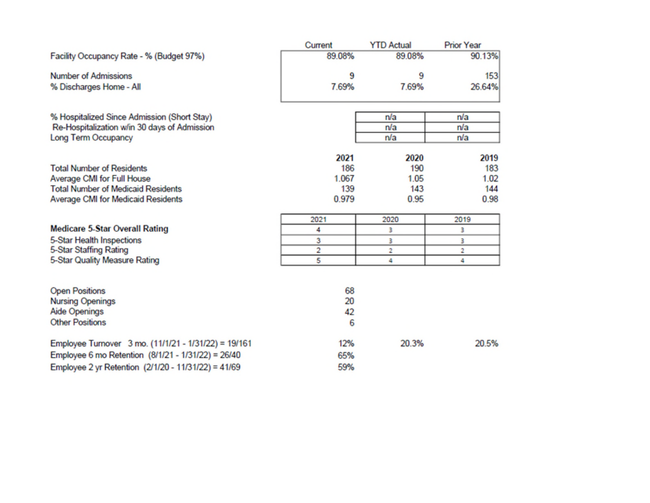|                                                                     | Current | <b>YTD Actual</b> | <b>Prior Year</b> |
|---------------------------------------------------------------------|---------|-------------------|-------------------|
| Facility Occupancy Rate - % (Budget 97%)                            | 89.08%  | 89.08%            | 90.13%            |
| <b>Number of Admissions</b>                                         | 9       | 9                 | 153               |
| % Discharges Home - All                                             | 7.69%   | 7.69%             | 26.64%            |
| % Hospitalized Since Admission (Short Stay)                         |         | n/a               | n/a               |
| Re-Hospitalization w/in 30 days of Admission<br>Long Term Occupancy |         | n/a<br>n/a        | n/a<br>n/a        |
|                                                                     |         |                   |                   |
|                                                                     | 2021    | 2020              | 2019              |
| <b>Total Number of Residents</b>                                    | 186     | 190               | 183               |
| Average CMI for Full House                                          | 1.067   | 1.05              | 1.02              |
| <b>Total Number of Medicaid Residents</b>                           | 139     | 143               | 144               |
| Average CMI for Medicaid Residents                                  | 0.979   | 0.95              | 0.98              |
|                                                                     | 2021    | 2020              | 2019              |
| <b>Medicare 5-Star Overall Rating</b>                               | 4       | 3                 | 3                 |
| 5-Star Health Inspections                                           | 3       | 3                 | з                 |
| 5-Star Staffing Rating                                              | 2       | 2                 | 2                 |
| 5-Star Quality Measure Rating                                       | 5       | 4                 | 4                 |
|                                                                     |         |                   |                   |
| <b>Open Positions</b>                                               | 68      |                   |                   |
| <b>Nursing Openings</b>                                             | 20      |                   |                   |
| <b>Aide Openings</b>                                                | 42      |                   |                   |
| <b>Other Positions</b>                                              | 6       |                   |                   |
| Employee Turnover 3 mo. (11/1/21 - 1/31/22) = 19/161                | 12%     | 20.3%             | 20.5%             |
| Employee 6 mo Retention (8/1/21 - 1/31/22) = 26/40                  | 65%     |                   |                   |
| Employee 2 yr Retention (2/1/20 - 11/31/22) = 41/69                 | 59%     |                   |                   |
|                                                                     |         |                   |                   |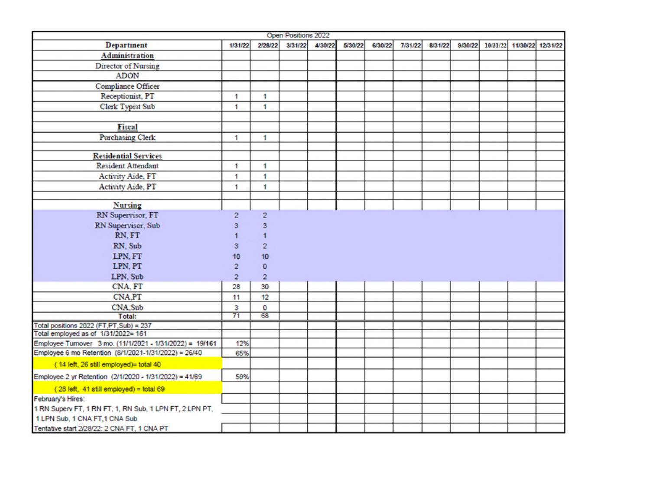|                                                          |                |                         | Open Positions 2022 |         |         |         |         |         |         |                   |          |
|----------------------------------------------------------|----------------|-------------------------|---------------------|---------|---------|---------|---------|---------|---------|-------------------|----------|
| <b>Department</b>                                        | 1/31/22        | 2/28/22                 | 3/31/22             | 4/30/22 | 5/30/22 | 6/30/22 | 7/31/22 | 8/31/22 | 9/30/22 | 10/31/22 11/30/22 | 12/31/22 |
| <b>Administration</b>                                    |                |                         |                     |         |         |         |         |         |         |                   |          |
|                                                          |                |                         |                     |         |         |         |         |         |         |                   |          |
| Director of Nursing                                      |                |                         |                     |         |         |         |         |         |         |                   |          |
| <b>ADON</b>                                              |                |                         |                     |         |         |         |         |         |         |                   |          |
| Compliance Officer                                       |                |                         |                     |         |         |         |         |         |         |                   |          |
| Receptionist, PT                                         | 1              | 1                       |                     |         |         |         |         |         |         |                   |          |
| <b>Clerk Typist Sub</b>                                  | 1              | 1                       |                     |         |         |         |         |         |         |                   |          |
|                                                          |                |                         |                     |         |         |         |         |         |         |                   |          |
| Fiscal                                                   |                |                         |                     |         |         |         |         |         |         |                   |          |
| <b>Purchasing Clerk</b>                                  | 1              | 1                       |                     |         |         |         |         |         |         |                   |          |
|                                                          |                |                         |                     |         |         |         |         |         |         |                   |          |
| <b>Residential Services</b>                              |                |                         |                     |         |         |         |         |         |         |                   |          |
| <b>Resident Attendant</b>                                | 1              | 1                       |                     |         |         |         |         |         |         |                   |          |
| Activity Aide, FT                                        | 1              | 1                       |                     |         |         |         |         |         |         |                   |          |
| Activity Aide, PT                                        | 1              | 1                       |                     |         |         |         |         |         |         |                   |          |
|                                                          |                |                         |                     |         |         |         |         |         |         |                   |          |
| <b>Nursing</b>                                           |                |                         |                     |         |         |         |         |         |         |                   |          |
| RN Supervisor, FT                                        | $\overline{c}$ | $\overline{\mathbf{c}}$ |                     |         |         |         |         |         |         |                   |          |
| RN Supervisor, Sub                                       | 3              | 3                       |                     |         |         |         |         |         |         |                   |          |
| RN.FT                                                    |                |                         |                     |         |         |         |         |         |         |                   |          |
| RN, Sub                                                  | 3              | $\overline{2}$          |                     |         |         |         |         |         |         |                   |          |
| LPN, FT                                                  | 10             | 10                      |                     |         |         |         |         |         |         |                   |          |
| LPN, PT                                                  | $\overline{2}$ | $\mathbf{0}$            |                     |         |         |         |         |         |         |                   |          |
| LPN, Sub                                                 | $\overline{2}$ | $\overline{2}$          |                     |         |         |         |         |         |         |                   |          |
| CNA, FT                                                  | 28             | 30                      |                     |         |         |         |         |         |         |                   |          |
| <b>CNA.PT</b>                                            | 11             | 12                      |                     |         |         |         |         |         |         |                   |          |
| CNA.Sub                                                  | 3              | 0                       |                     |         |         |         |         |         |         |                   |          |
| Total:                                                   | 71             | 68                      |                     |         |         |         |         |         |         |                   |          |
| Total positions 2022 (FT,PT,Sub) = 237                   |                |                         |                     |         |         |         |         |         |         |                   |          |
| Total employed as of 1/31/2022= 161                      |                |                         |                     |         |         |         |         |         |         |                   |          |
| Employee Turnover 3 mo. (11/1/2021 - 1/31/2022) = 19/161 | 12%            |                         |                     |         |         |         |         |         |         |                   |          |
| Employee 6 mo Retention (8/1/2021-1/31/2022) = 26/40     | 65%            |                         |                     |         |         |         |         |         |         |                   |          |
| (14 left, 26 still employed)= total 40                   |                |                         |                     |         |         |         |         |         |         |                   |          |
| Employee 2 yr Retention (2/1/2020 - 1/31/2022) = 41/69   | 59%            |                         |                     |         |         |         |         |         |         |                   |          |
| (28 left, 41 still employed) = total 69                  |                |                         |                     |         |         |         |         |         |         |                   |          |
| February's Hires:                                        |                |                         |                     |         |         |         |         |         |         |                   |          |
| 1 RN Superv FT, 1 RN FT, 1, RN Sub, 1 LPN FT, 2 LPN PT,  |                |                         |                     |         |         |         |         |         |         |                   |          |
| 1 LPN Sub, 1 CNA FT, 1 CNA Sub                           |                |                         |                     |         |         |         |         |         |         |                   |          |
| Tentative start 2/28/22: 2 CNA FT, 1 CNA PT              |                |                         |                     |         |         |         |         |         |         |                   |          |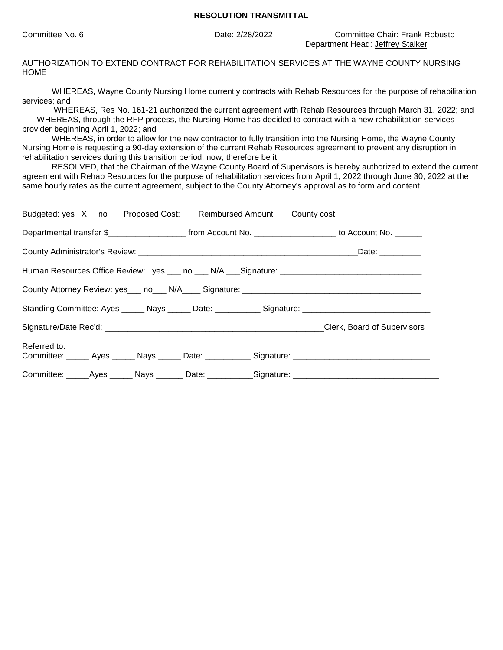Committee No. 6 Date: 2/28/2022 Committee Chair: Frank Robusto Department Head: Jeffrey Stalker

AUTHORIZATION TO EXTEND CONTRACT FOR REHABILITATION SERVICES AT THE WAYNE COUNTY NURSING HOME

WHEREAS, Wayne County Nursing Home currently contracts with Rehab Resources for the purpose of rehabilitation services; and

 WHEREAS, Res No. 161-21 authorized the current agreement with Rehab Resources through March 31, 2022; and WHEREAS, through the RFP process, the Nursing Home has decided to contract with a new rehabilitation services provider beginning April 1, 2022; and

WHEREAS, in order to allow for the new contractor to fully transition into the Nursing Home, the Wayne County Nursing Home is requesting a 90-day extension of the current Rehab Resources agreement to prevent any disruption in rehabilitation services during this transition period; now, therefore be it

RESOLVED, that the Chairman of the Wayne County Board of Supervisors is hereby authorized to extend the current agreement with Rehab Resources for the purpose of rehabilitation services from April 1, 2022 through June 30, 2022 at the same hourly rates as the current agreement, subject to the County Attorney's approval as to form and content.

|                                                                                                      |  |                                                                                                                |  | Budgeted: yes _X__ no___ Proposed Cost: ___ Reimbursed Amount ___ County cost__ |                                                                                                      |  |
|------------------------------------------------------------------------------------------------------|--|----------------------------------------------------------------------------------------------------------------|--|---------------------------------------------------------------------------------|------------------------------------------------------------------------------------------------------|--|
|                                                                                                      |  | Departmental transfer \$________________________ from Account No. _____________________ to Account No. _______ |  |                                                                                 |                                                                                                      |  |
|                                                                                                      |  | _Date: __________                                                                                              |  |                                                                                 |                                                                                                      |  |
| Human Resources Office Review: yes ___ no ___ N/A ___ Signature: ___________________________________ |  |                                                                                                                |  |                                                                                 |                                                                                                      |  |
|                                                                                                      |  |                                                                                                                |  |                                                                                 |                                                                                                      |  |
|                                                                                                      |  |                                                                                                                |  |                                                                                 | Standing Committee: Ayes ______ Nays ______ Date: ___________ Signature: ___________________________ |  |
|                                                                                                      |  |                                                                                                                |  |                                                                                 |                                                                                                      |  |
| Referred to:                                                                                         |  |                                                                                                                |  |                                                                                 | Committee: ______ Ayes ______ Nays ______ Date: ___________ Signature: _____________________________ |  |
|                                                                                                      |  |                                                                                                                |  |                                                                                 | Committee: _____Ayes ______ Nays _______ Date: ___________Signature: ______________________________  |  |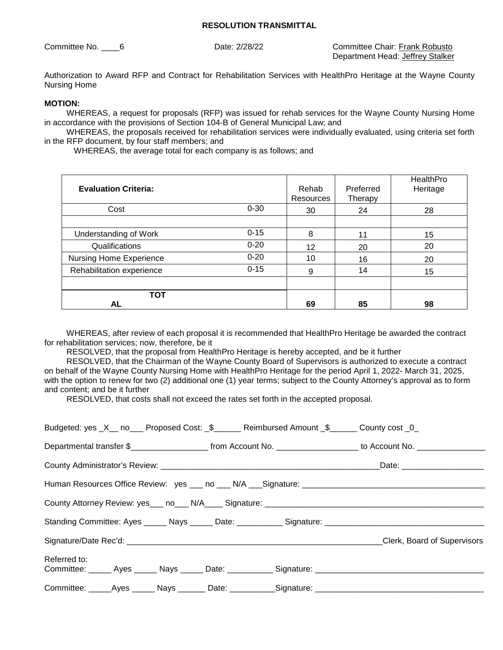Committee No. 6 6 Date: 2/28/22 Committee Chair: Frank Robusto Department Head: Jeffrey Stalker

Authorization to Award RFP and Contract for Rehabilitation Services with HealthPro Heritage at the Wayne County Nursing Home

#### **MOTION:**

WHEREAS, a request for proposals (RFP) was issued for rehab services for the Wayne County Nursing Home in accordance with the provisions of Section 104-B of General Municipal Law; and

WHEREAS, the proposals received for rehabilitation services were individually evaluated, using criteria set forth in the RFP document, by four staff members; and

WHEREAS, the average total for each company is as follows; and

| <b>Evaluation Criteria:</b> |          | Rehab<br><b>Resources</b> | Preferred<br>Therapy | HealthPro<br>Heritage |
|-----------------------------|----------|---------------------------|----------------------|-----------------------|
| Cost                        | $0 - 30$ | 30                        | 24                   | 28                    |
|                             |          |                           |                      |                       |
| Understanding of Work       | $0 - 15$ | 8                         | 11                   | 15                    |
| Qualifications              | $0 - 20$ | 12                        | 20                   | 20                    |
| Nursing Home Experience     | $0 - 20$ | 10                        | 16                   | 20                    |
| Rehabilitation experience   | $0 - 15$ | 9                         | 14                   | 15                    |
|                             |          |                           |                      |                       |
| <b>TOT</b>                  |          |                           |                      |                       |
| AL                          |          | 69                        | 85                   | 98                    |

WHEREAS, after review of each proposal it is recommended that HealthPro Heritage be awarded the contract for rehabilitation services; now, therefore, be it

RESOLVED, that the proposal from HealthPro Heritage is hereby accepted, and be it further

RESOLVED, that the Chairman of the Wayne County Board of Supervisors is authorized to execute a contract on behalf of the Wayne County Nursing Home with HealthPro Heritage for the period April 1, 2022- March 31, 2025, with the option to renew for two (2) additional one (1) year terms; subject to the County Attorney's approval as to form and content; and be it further

RESOLVED, that costs shall not exceed the rates set forth in the accepted proposal.

| Budgeted: yes _X__ no___ Proposed Cost: _\$______ Reimbursed Amount _\$______ County cost _0_                       |  |                             |
|---------------------------------------------------------------------------------------------------------------------|--|-----------------------------|
|                                                                                                                     |  |                             |
|                                                                                                                     |  |                             |
|                                                                                                                     |  |                             |
|                                                                                                                     |  |                             |
|                                                                                                                     |  |                             |
|                                                                                                                     |  | Clerk, Board of Supervisors |
| Referred to:<br>Committee: _____ Ayes _____ Nays _____ Date: __________ Signature: ________________________________ |  |                             |
| Committee: ______Ayes ______ Nays ________Date: ___________Signature: ______________________________                |  |                             |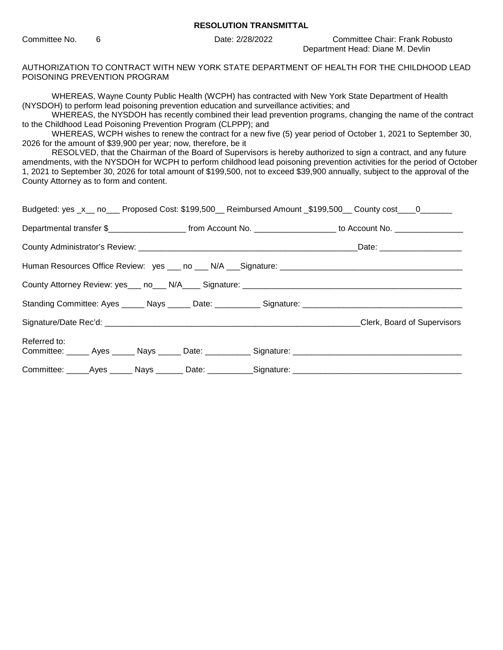Committee No. 6 Date: 2/28/2022 Committee Chair: Frank Robusto Department Head: Diane M. Devlin

AUTHORIZATION TO CONTRACT WITH NEW YORK STATE DEPARTMENT OF HEALTH FOR THE CHILDHOOD LEAD POISONING PREVENTION PROGRAM

WHEREAS, Wayne County Public Health (WCPH) has contracted with New York State Department of Health (NYSDOH) to perform lead poisoning prevention education and surveillance activities; and

WHEREAS, the NYSDOH has recently combined their lead prevention programs, changing the name of the contract to the Childhood Lead Poisoning Prevention Program (CLPPP); and

WHEREAS, WCPH wishes to renew the contract for a new five (5) year period of October 1, 2021 to September 30, 2026 for the amount of \$39,900 per year; now, therefore, be it

RESOLVED, that the Chairman of the Board of Supervisors is hereby authorized to sign a contract, and any future amendments, with the NYSDOH for WCPH to perform childhood lead poisoning prevention activities for the period of October 1, 2021 to September 30, 2026 for total amount of \$199,500, not to exceed \$39,900 annually, subject to the approval of the County Attorney as to form and content.

|              |  |                                                                                                                  | Budgeted: yes _x__ no___ Proposed Cost: \$199,500__ Reimbursed Amount _\$199,500__ County cost____0_______    |
|--------------|--|------------------------------------------------------------------------------------------------------------------|---------------------------------------------------------------------------------------------------------------|
|              |  | Departmental transfer \$_______________________ from Account No. ___________________ to Account No. ____________ |                                                                                                               |
|              |  |                                                                                                                  |                                                                                                               |
|              |  |                                                                                                                  |                                                                                                               |
|              |  |                                                                                                                  |                                                                                                               |
|              |  |                                                                                                                  | Standing Committee: Ayes ______ Nays ______ Date: ____________ Signature: ___________________________________ |
|              |  |                                                                                                                  | Clerk, Board of Supervisors                                                                                   |
| Referred to: |  |                                                                                                                  |                                                                                                               |
|              |  |                                                                                                                  | Committee: ______Ayes _______ Nays ________ Date: ___________Signature: ____________________________          |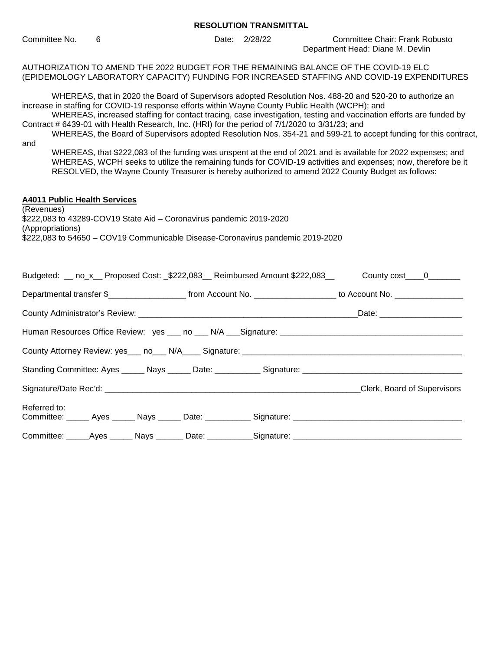Committee No. 6 Date: 2/28/22 Committee Chair: Frank Robusto Department Head: Diane M. Devlin AUTHORIZATION TO AMEND THE 2022 BUDGET FOR THE REMAINING BALANCE OF THE COVID-19 ELC (EPIDEMOLOGY LABORATORY CAPACITY) FUNDING FOR INCREASED STAFFING AND COVID-19 EXPENDITURES WHEREAS, that in 2020 the Board of Supervisors adopted Resolution Nos. 488-20 and 520-20 to authorize an increase in staffing for COVID-19 response efforts within Wayne County Public Health (WCPH); and WHEREAS, increased staffing for contact tracing, case investigation, testing and vaccination efforts are funded by Contract # 6439-01 with Health Research, Inc. (HRI) for the period of 7/1/2020 to 3/31/23; and WHEREAS, the Board of Supervisors adopted Resolution Nos. 354-21 and 599-21 to accept funding for this contract, and WHEREAS, that \$222,083 of the funding was unspent at the end of 2021 and is available for 2022 expenses; and WHEREAS, WCPH seeks to utilize the remaining funds for COVID-19 activities and expenses; now, therefore be it RESOLVED, the Wayne County Treasurer is hereby authorized to amend 2022 County Budget as follows: **A4011 Public Health Services**  (Revenues) \$222,083 to 43289-COV19 State Aid – Coronavirus pandemic 2019-2020 (Appropriations) \$222,083 to 54650 – COV19 Communicable Disease-Coronavirus pandemic 2019-2020 Budgeted: \_\_ no\_x\_ Proposed Cost:  $$222,083$  Reimbursed Amount \$222,083 County cost \_\_\_0 Departmental transfer \$\_\_\_\_\_\_\_\_\_\_\_\_\_\_\_\_\_\_\_\_\_\_\_ from Account No. \_\_\_\_\_\_\_\_\_\_\_\_\_\_\_\_\_\_\_\_\_ to Account No. \_\_\_\_\_\_\_\_\_ County Administrator's Review: \_\_\_\_\_\_\_\_\_\_\_\_\_\_\_\_\_\_\_\_\_\_\_\_\_\_\_\_\_\_\_\_\_\_\_\_\_\_\_\_\_\_\_\_\_\_\_\_Date: \_\_\_\_\_\_\_\_\_\_\_\_\_\_\_\_\_\_ Human Resources Office Review: yes \_\_\_ no \_\_\_ N/A \_\_\_Signature: \_\_\_\_\_\_\_\_\_\_\_\_\_\_\_\_\_\_\_\_\_\_\_\_\_\_\_\_\_\_\_\_\_\_\_\_\_\_\_\_ County Attorney Review: yes\_\_\_ no\_\_\_ N/A\_\_\_\_ Signature: \_\_\_\_\_\_\_\_\_\_\_\_\_\_\_\_\_\_\_\_\_\_\_\_\_\_\_\_\_\_\_\_\_\_\_\_\_\_\_\_\_\_\_\_\_\_\_\_ Standing Committee: Ayes \_\_\_\_\_ Nays \_\_\_\_\_ Date: \_\_\_\_\_\_\_\_\_\_ Signature: \_\_\_\_\_\_\_\_\_\_\_\_\_\_\_\_\_\_\_\_\_\_\_\_\_\_\_\_\_ Signature/Date Rec'd: etc. and the state of Supervisors and the Supervisors of Supervisors and the Supervisors Referred to: Committee: Ayes Nays Date: Signature:  $\Box$ 

Committee: \_\_\_\_\_Ayes \_\_\_\_\_ Nays \_\_\_\_\_\_ Date: \_\_\_\_\_\_\_\_\_\_Signature: \_\_\_\_\_\_\_\_\_\_\_\_\_\_\_\_\_\_\_\_\_\_\_\_\_\_\_\_\_\_\_\_\_\_\_\_\_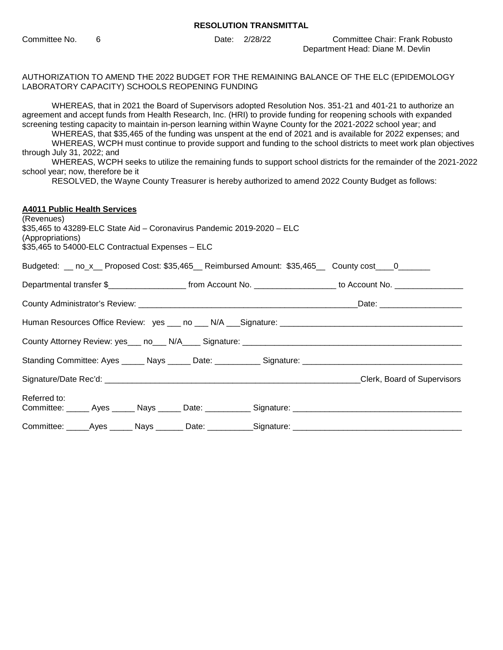Committee No. 6 Date: 2/28/22 Committee Chair: Frank Robusto Department Head: Diane M. Devlin

AUTHORIZATION TO AMEND THE 2022 BUDGET FOR THE REMAINING BALANCE OF THE ELC (EPIDEMOLOGY LABORATORY CAPACITY) SCHOOLS REOPENING FUNDING

WHEREAS, that in 2021 the Board of Supervisors adopted Resolution Nos. 351-21 and 401-21 to authorize an agreement and accept funds from Health Research, Inc. (HRI) to provide funding for reopening schools with expanded screening testing capacity to maintain in-person learning within Wayne County for the 2021-2022 school year; and WHEREAS, that \$35,465 of the funding was unspent at the end of 2021 and is available for 2022 expenses; and WHEREAS, WCPH must continue to provide support and funding to the school districts to meet work plan objectives through July 31, 2022; and WHEREAS, WCPH seeks to utilize the remaining funds to support school districts for the remainder of the 2021-2022 school year; now, therefore be it RESOLVED, the Wayne County Treasurer is hereby authorized to amend 2022 County Budget as follows: **A4011 Public Health Services**  (Revenues) \$35,465 to 43289-ELC State Aid – Coronavirus Pandemic 2019-2020 – ELC (Appropriations) \$35,465 to 54000-ELC Contractual Expenses – ELC Budgeted: \_\_ no\_x\_\_ Proposed Cost: \$35,465\_\_ Reimbursed Amount: \$35,465\_\_ County cost\_\_\_0\_\_\_\_\_\_\_ Departmental transfer \$\_\_\_\_\_\_\_\_\_\_\_\_\_\_\_\_\_\_\_\_\_\_\_ from Account No. \_\_\_\_\_\_\_\_\_\_\_\_\_\_\_\_\_\_\_\_\_ to Account No. \_\_\_\_\_\_\_\_\_ County Administrator's Review: **We are all that the end of the end of the end of the end of the end of the end** o Human Resources Office Review: yes \_\_\_ no \_\_\_ N/A \_\_\_Signature: \_\_\_\_\_\_\_\_\_\_\_\_\_\_\_\_\_\_\_\_\_\_\_\_\_\_\_\_\_\_\_\_\_\_\_\_\_\_\_\_ County Attorney Review: yes\_\_\_ no\_\_\_ N/A\_\_\_\_ Signature: \_\_\_\_\_\_\_\_\_\_\_\_\_\_\_\_\_\_\_\_\_\_\_\_ Standing Committee: Ayes \_\_\_\_\_\_ Nays \_\_\_\_\_\_ Date: \_\_\_\_\_\_\_\_\_\_\_ Signature: \_\_\_\_\_\_\_\_\_\_\_\_\_\_\_\_\_\_\_\_\_\_\_\_\_\_\_ Signature/Date Rec'd: \_\_\_\_\_\_\_\_\_\_\_\_\_\_\_\_\_\_\_\_\_\_\_\_\_\_\_\_\_\_\_\_\_\_\_\_\_\_\_\_\_\_\_\_\_\_\_\_\_\_\_\_\_\_\_\_Clerk, Board of Supervisors Referred to: Committee: \_\_\_\_\_\_ Ayes \_\_\_\_\_\_ Nays \_\_\_\_\_\_ Date: \_\_\_\_\_\_\_\_\_\_\_ Signature: \_\_\_\_\_\_\_\_\_\_ Committee: \_\_\_\_\_Ayes \_\_\_\_\_Nays \_\_\_\_\_\_ Date: \_\_\_\_\_\_\_\_\_\_Signature: \_\_\_\_\_\_\_\_\_\_\_\_\_\_\_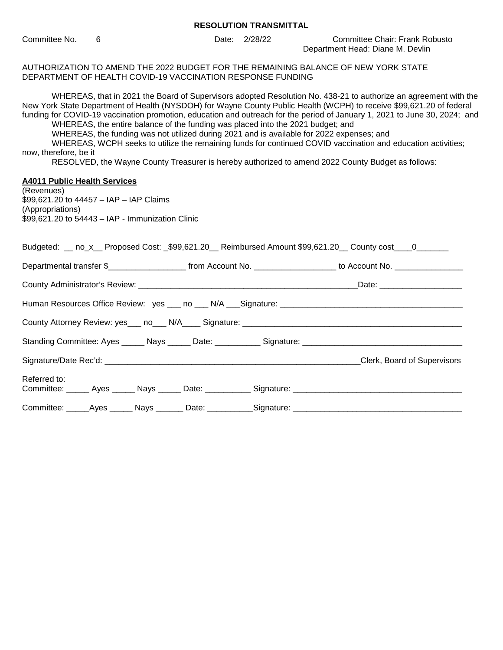|                                                                                                                                                                                                                                                                                                                                                                                                                                                                                                                                                                                                                                                                                                                                                                                                     |   |  |  | <b>RESOLUTION TRANSMITTAL</b> |                                                                                                                      |  |  |
|-----------------------------------------------------------------------------------------------------------------------------------------------------------------------------------------------------------------------------------------------------------------------------------------------------------------------------------------------------------------------------------------------------------------------------------------------------------------------------------------------------------------------------------------------------------------------------------------------------------------------------------------------------------------------------------------------------------------------------------------------------------------------------------------------------|---|--|--|-------------------------------|----------------------------------------------------------------------------------------------------------------------|--|--|
| Committee No.                                                                                                                                                                                                                                                                                                                                                                                                                                                                                                                                                                                                                                                                                                                                                                                       | 6 |  |  | Date: 2/28/22                 | <b>Committee Chair: Frank Robusto</b><br>Department Head: Diane M. Devlin                                            |  |  |
| AUTHORIZATION TO AMEND THE 2022 BUDGET FOR THE REMAINING BALANCE OF NEW YORK STATE<br>DEPARTMENT OF HEALTH COVID-19 VACCINATION RESPONSE FUNDING                                                                                                                                                                                                                                                                                                                                                                                                                                                                                                                                                                                                                                                    |   |  |  |                               |                                                                                                                      |  |  |
| WHEREAS, that in 2021 the Board of Supervisors adopted Resolution No. 438-21 to authorize an agreement with the<br>New York State Department of Health (NYSDOH) for Wayne County Public Health (WCPH) to receive \$99,621.20 of federal<br>funding for COVID-19 vaccination promotion, education and outreach for the period of January 1, 2021 to June 30, 2024; and<br>WHEREAS, the entire balance of the funding was placed into the 2021 budget; and<br>WHEREAS, the funding was not utilized during 2021 and is available for 2022 expenses; and<br>WHEREAS, WCPH seeks to utilize the remaining funds for continued COVID vaccination and education activities;<br>now, therefore, be it<br>RESOLVED, the Wayne County Treasurer is hereby authorized to amend 2022 County Budget as follows: |   |  |  |                               |                                                                                                                      |  |  |
| <b>A4011 Public Health Services</b><br>(Revenues)<br>\$99,621.20 to 44457 - IAP - IAP Claims<br>(Appropriations)<br>\$99,621.20 to 54443 - IAP - Immunization Clinic                                                                                                                                                                                                                                                                                                                                                                                                                                                                                                                                                                                                                                |   |  |  |                               |                                                                                                                      |  |  |
|                                                                                                                                                                                                                                                                                                                                                                                                                                                                                                                                                                                                                                                                                                                                                                                                     |   |  |  |                               | Budgeted: __ no_x__ Proposed Cost: _\$99,621.20__ Reimbursed Amount \$99,621.20__ County cost____0_______            |  |  |
|                                                                                                                                                                                                                                                                                                                                                                                                                                                                                                                                                                                                                                                                                                                                                                                                     |   |  |  |                               | Departmental transfer \$________________________ from Account No. ___________________ to Account No. _______________ |  |  |
|                                                                                                                                                                                                                                                                                                                                                                                                                                                                                                                                                                                                                                                                                                                                                                                                     |   |  |  |                               |                                                                                                                      |  |  |
|                                                                                                                                                                                                                                                                                                                                                                                                                                                                                                                                                                                                                                                                                                                                                                                                     |   |  |  |                               |                                                                                                                      |  |  |
|                                                                                                                                                                                                                                                                                                                                                                                                                                                                                                                                                                                                                                                                                                                                                                                                     |   |  |  |                               |                                                                                                                      |  |  |
|                                                                                                                                                                                                                                                                                                                                                                                                                                                                                                                                                                                                                                                                                                                                                                                                     |   |  |  |                               |                                                                                                                      |  |  |
|                                                                                                                                                                                                                                                                                                                                                                                                                                                                                                                                                                                                                                                                                                                                                                                                     |   |  |  |                               |                                                                                                                      |  |  |
| Referred to:                                                                                                                                                                                                                                                                                                                                                                                                                                                                                                                                                                                                                                                                                                                                                                                        |   |  |  |                               |                                                                                                                      |  |  |
|                                                                                                                                                                                                                                                                                                                                                                                                                                                                                                                                                                                                                                                                                                                                                                                                     |   |  |  |                               |                                                                                                                      |  |  |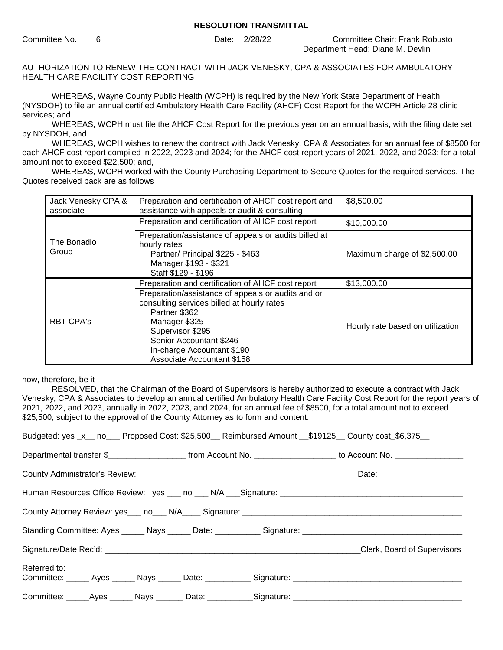Committee No. 6 Date: 2/28/22 Committee Chair: Frank Robusto Department Head: Diane M. Devlin

AUTHORIZATION TO RENEW THE CONTRACT WITH JACK VENESKY, CPA & ASSOCIATES FOR AMBULATORY HEALTH CARE FACILITY COST REPORTING

WHEREAS, Wayne County Public Health (WCPH) is required by the New York State Department of Health (NYSDOH) to file an annual certified Ambulatory Health Care Facility (AHCF) Cost Report for the WCPH Article 28 clinic services; and

WHEREAS, WCPH must file the AHCF Cost Report for the previous year on an annual basis, with the filing date set by NYSDOH, and

WHEREAS, WCPH wishes to renew the contract with Jack Venesky, CPA & Associates for an annual fee of \$8500 for each AHCF cost report compiled in 2022, 2023 and 2024; for the AHCF cost report years of 2021, 2022, and 2023; for a total amount not to exceed \$22,500; and,

WHEREAS, WCPH worked with the County Purchasing Department to Secure Quotes for the required services. The Quotes received back are as follows

| Jack Venesky CPA &<br>associate | Preparation and certification of AHCF cost report and<br>assistance with appeals or audit & consulting                                                                                                                                               | \$8,500.00                       |
|---------------------------------|------------------------------------------------------------------------------------------------------------------------------------------------------------------------------------------------------------------------------------------------------|----------------------------------|
|                                 | Preparation and certification of AHCF cost report                                                                                                                                                                                                    | \$10,000.00                      |
| The Bonadio<br>Group            | Preparation/assistance of appeals or audits billed at<br>hourly rates<br>Partner/ Principal \$225 - \$463<br>Manager \$193 - \$321<br>Staff \$129 - \$196                                                                                            | Maximum charge of \$2,500.00     |
|                                 | Preparation and certification of AHCF cost report                                                                                                                                                                                                    | \$13,000.00                      |
| <b>RBT CPA's</b>                | Preparation/assistance of appeals or audits and or<br>consulting services billed at hourly rates<br>Partner \$362<br>Manager \$325<br>Supervisor \$295<br>Senior Accountant \$246<br>In-charge Accountant \$190<br><b>Associate Accountant \$158</b> | Hourly rate based on utilization |

now, therefore, be it

RESOLVED, that the Chairman of the Board of Supervisors is hereby authorized to execute a contract with Jack Venesky, CPA & Associates to develop an annual certified Ambulatory Health Care Facility Cost Report for the report years of 2021, 2022, and 2023, annually in 2022, 2023, and 2024, for an annual fee of \$8500, for a total amount not to exceed \$25,500, subject to the approval of the County Attorney as to form and content.

|                                                                                                     |  |                                                                                                                                         | Budgeted: yes _x__ no___ Proposed Cost: \$25,500__ Reimbursed Amount __\$19125__ County cost_\$6,375__ |
|-----------------------------------------------------------------------------------------------------|--|-----------------------------------------------------------------------------------------------------------------------------------------|--------------------------------------------------------------------------------------------------------|
|                                                                                                     |  | Departmental transfer \$________________________________from Account No. ____________________________ to Account No. __________________ |                                                                                                        |
|                                                                                                     |  |                                                                                                                                         |                                                                                                        |
|                                                                                                     |  |                                                                                                                                         |                                                                                                        |
|                                                                                                     |  |                                                                                                                                         |                                                                                                        |
|                                                                                                     |  |                                                                                                                                         |                                                                                                        |
|                                                                                                     |  |                                                                                                                                         |                                                                                                        |
| Referred to:                                                                                        |  |                                                                                                                                         |                                                                                                        |
| Committee: ______Ayes ______ Nays _______ Date: ___________Signature: _____________________________ |  |                                                                                                                                         |                                                                                                        |